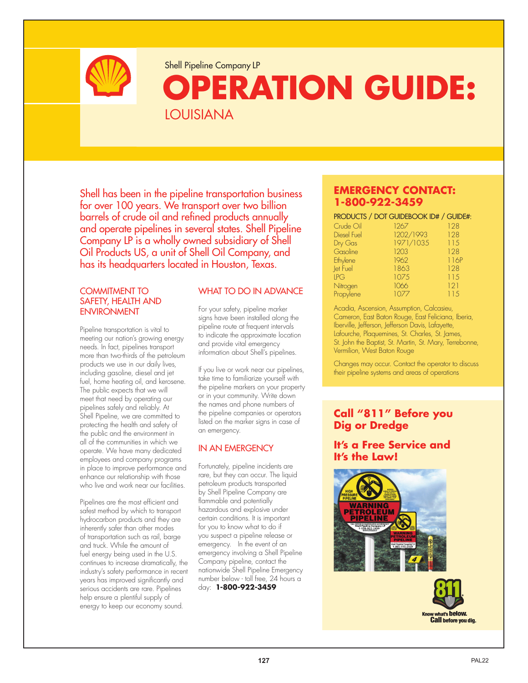

Shell Pipeline Company LP

# **OPERATION GUIDE:**  LOUISIANA

Shell has been in the pipeline transportation business for over 100 years. We transport over two billion barrels of crude oil and refined products annually and operate pipelines in several states. Shell Pipeline Company LP is a wholly owned subsidiary of Shell Oil Products US, a unit of Shell Oil Company, and has its headquarters located in Houston, Texas.

#### COMMITMENT TO SAFETY, HEALTH AND ENVIRONMENT

Pipeline transportation is vital to meeting our nation's growing energy needs. In fact, pipelines transport more than two-thirds of the petroleum products we use in our daily lives, including gasoline, diesel and jet fuel, home heating oil, and kerosene. The public expects that we will meet that need by operating our pipelines safely and reliably. At Shell Pipeline, we are committed to protecting the health and safety of the public and the environment in all of the communities in which we operate. We have many dedicated employees and company programs in place to improve performance and enhance our relationship with those who live and work near our facilities.

Pipelines are the most efficient and safest method by which to transport hydrocarbon products and they are inherently safer than other modes of transportation such as rail, barge and truck. While the amount of fuel energy being used in the U.S. continues to increase dramatically, the industry's safety performance in recent years has improved significantly and serious accidents are rare. Pipelines help ensure a plentiful supply of energy to keep our economy sound.

#### WHAT TO DO IN ADVANCE

For your safety, pipeline marker signs have been installed along the pipeline route at frequent intervals to indicate the approximate location and provide vital emergency information about Shell's pipelines.

If you live or work near our pipelines, take time to familiarize yourself with the pipeline markers on your property or in your community. Write down the names and phone numbers of the pipeline companies or operators listed on the marker signs in case of an emergency.

#### IN AN EMERGENCY

Fortunately, pipeline incidents are rare, but they can occur. The liquid petroleum products transported by Shell Pipeline Company are flammable and potentially hazardous and explosive under certain conditions. It is important for you to know what to do if you suspect a pipeline release or emergency. In the event of an emergency involving a Shell Pipeline Company pipeline, contact the nationwide Shell Pipeline Emergency number below - toll free, 24 hours a day: **1-800-922-3459**

#### **EMERGENCY CONTACT: 1-800-922-3459**

PRODUCTS / DOT GUIDEBOOK ID# / GUIDE#:

| Crude Oil   | 1267      | 128  |
|-------------|-----------|------|
| Diesel Fuel | 1202/1993 | 128  |
| Dry Gas     | 1971/1035 | 115  |
| Gasoline    | 1203      | 128  |
| Ethylene    | 1962      | 116P |
| let Fuel    | 1863      | 128  |
| LPG         | 1075      | 115  |
| Nitrogen    | 1066      | 121  |
| Propylene   | 1077      | 115  |

Acadia, Ascension, Assumption, Calcasieu, Cameron, East Baton Rouge, East Feliciana, Iberia, Iberville, Jefferson, Jefferson Davis, Lafayette, Lafourche, Plaquemines, St. Charles, St. James, St. John the Baptist, St. Martin, St. Mary, Terrebonne, Vermilion, West Baton Rouge

Changes may occur. Contact the operator to discuss their pipeline systems and areas of operations

### **Call "811" Before you Dig or Dredge**

#### **It's a Free Service and It's the Law!**